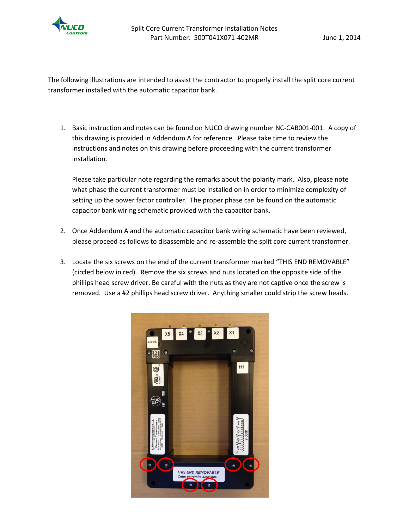

The following illustrations are intended to assist the contractor to properly install the split core current transformer installed with the automatic capacitor bank.

1. Basic instruction and notes can be found on NUCO drawing number NC-CAB001-001. A copy of this drawing is provided in Addendum A for reference. Please take time to review the instructions and notes on this drawing before proceeding with the current transformer installation.

Please take particular note regarding the remarks about the polarity mark. Also, please note what phase the current transformer must be installed on in order to minimize complexity of setting up the power factor controller. The proper phase can be found on the automatic capacitor bank wiring schematic provided with the capacitor bank.

- 2. Once Addendum A and the automatic capacitor bank wiring schematic have been reviewed, please proceed as follows to disassemble and re-assemble the split core current transformer.
- 3. Locate the six screws on the end of the current transformer marked "THIS END REMOVABLE" (circled below in red). Remove the six screws and nuts located on the opposite side of the phillips head screw driver. Be careful with the nuts as they are not captive once the screw is removed. Use a #2 phillips head screw driver. Anything smaller could strip the screw heads.

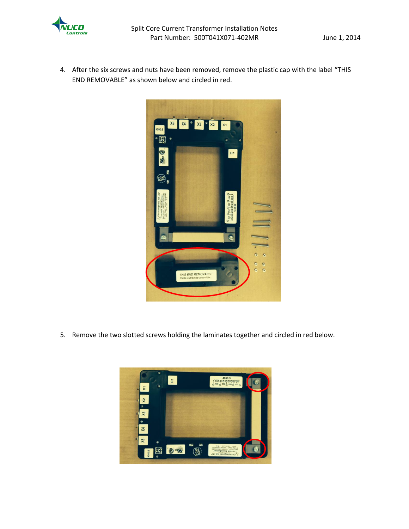

4. After the six screws and nuts have been removed, remove the plastic cap with the label "THIS END REMOVABLE" as shown below and circled in red.



5. Remove the two slotted screws holding the laminates together and circled in red below.

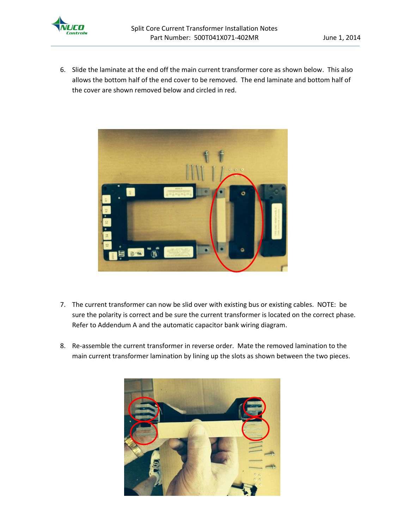

6. Slide the laminate at the end off the main current transformer core as shown below. This also allows the bottom half of the end cover to be removed. The end laminate and bottom half of the cover are shown removed below and circled in red.



- 7. The current transformer can now be slid over with existing bus or existing cables. NOTE: be sure the polarity is correct and be sure the current transformer is located on the correct phase. Refer to Addendum A and the automatic capacitor bank wiring diagram.
- 8. Re-assemble the current transformer in reverse order. Mate the removed lamination to the main current transformer lamination by lining up the slots as shown between the two pieces.

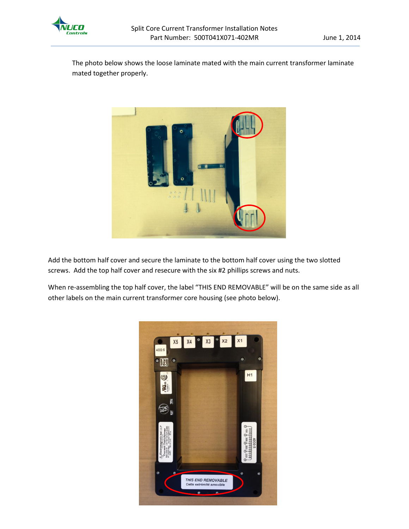

The photo below shows the loose laminate mated with the main current transformer laminate mated together properly.



Add the bottom half cover and secure the laminate to the bottom half cover using the two slotted screws. Add the top half cover and resecure with the six #2 phillips screws and nuts.

When re-assembling the top half cover, the label "THIS END REMOVABLE" will be on the same side as all other labels on the main current transformer core housing (see photo below).